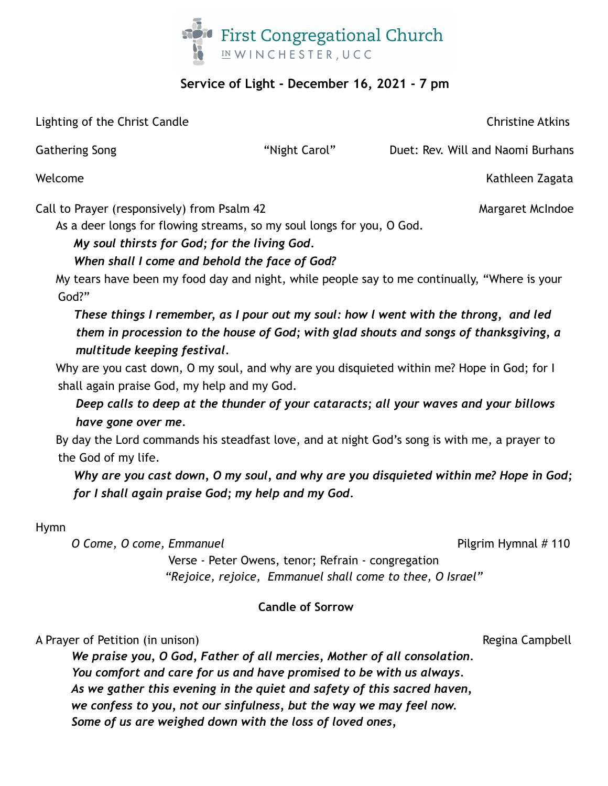

## **Service of Light - December 16, 2021 - 7 pm**

Lighting of the Christ Candle Christine Atkins

Gathering Song The Song The Song The "Night Carol" Duet: Rev. Will and Naomi Burhans

Welcome **Kathleen Zagata** 

Call to Prayer (responsively) from Psalm 42 Margaret McIndoe

As a deer longs for flowing streams, so my soul longs for you, O God.

# *My soul thirsts for God; for the living God.*

# *When shall I come and behold the face of God?*

My tears have been my food day and night, while people say to me continually, "Where is your God?"

*These things I remember, as I pour out my soul: how l went with the throng, and led them in procession to the house of God; with glad shouts and songs of thanksgiving, a multitude keeping festival.*

Why are you cast down, O my soul, and why are you disquieted within me? Hope in God; for I shall again praise God, my help and my God.

*Deep calls to deep at the thunder of your cataracts; all your waves and your billows have gone over me.*

By day the Lord commands his steadfast love, and at night God's song is with me, a prayer to the God of my life.

*Why are you cast down, O my soul, and why are you disquieted within me? Hope in God; for I shall again praise God; my help and my God.*

Hymn

*O* Come, *O* come, Emmanuel **Pilgrim Hymnal # 110** 

Verse - Peter Owens, tenor; Refrain - congregation *"Rejoice, rejoice, Emmanuel shall come to thee, O Israel"*

### **Candle of Sorrow**

A Prayer of Petition (in unison) A Prayer of Petition (in unison)

*We praise you, O God, Father of all mercies, Mother of all consolation. You comfort and care for us and have promised to be with us always. As we gather this evening in the quiet and safety of this sacred haven, we confess to you, not our sinfulness, but the way we may feel now. Some of us are weighed down with the loss of loved ones,*